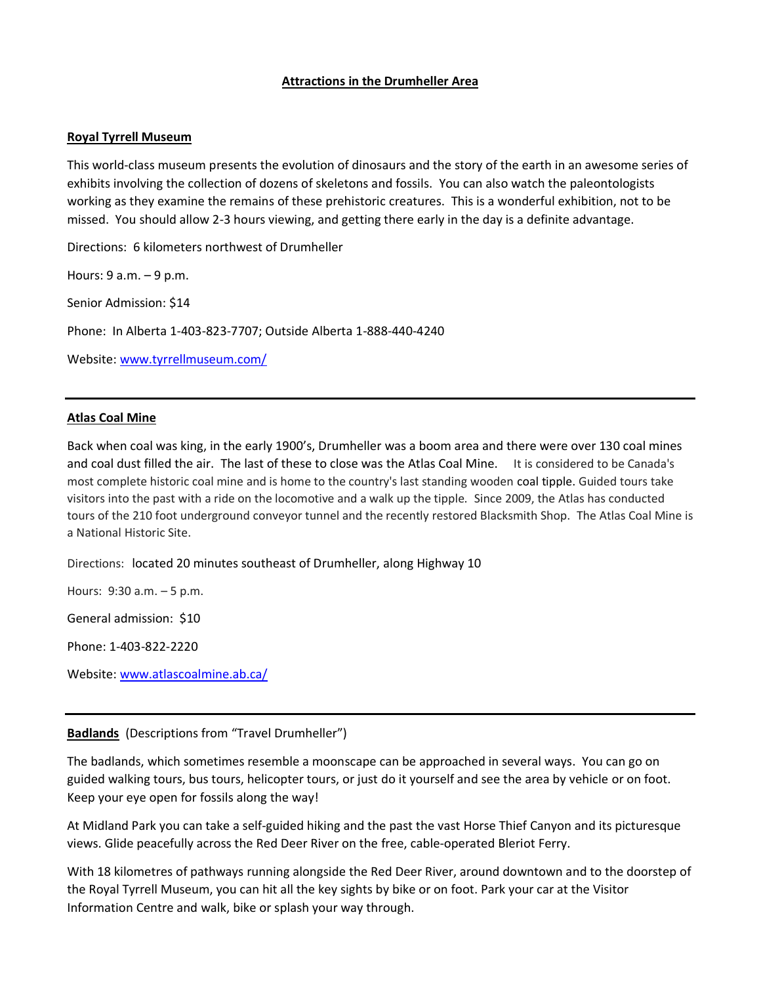# **Attractions in the Drumheller Area**

## **Royal Tyrrell Museum**

This world-class museum presents the evolution of dinosaurs and the story of the earth in an awesome series of exhibits involving the collection of dozens of skeletons and fossils. You can also watch the paleontologists working as they examine the remains of these prehistoric creatures. This is a wonderful exhibition, not to be missed. You should allow 2-3 hours viewing, and getting there early in the day is a definite advantage.

Directions: 6 kilometers northwest of Drumheller

Hours: 9 a.m. – 9 p.m.

Senior Admission: \$14

Phone: In Alberta 1-403-823-7707; Outside Alberta 1-888-440-4240

Website: [www.tyrrellmuseum.com/](http://www.tyrrellmuseum.com/)

# **Atlas Coal Mine**

Back when coal was king, in the early 1900's, Drumheller was a boom area and there were over 130 coal mines and coal dust filled the air. The last of these to close was the Atlas Coal Mine. It is considered to be Canada's most complete historic coal mine and is home to the country's last standing wooden [coal tipple.](https://en.wikipedia.org/wiki/Coal_tipple) Guided tours take visitors into the past with a ride on the locomotive and a walk up the tipple. Since 2009, the Atlas has conducted tours of the 210 foot underground conveyor tunnel and the recently restored Blacksmith Shop. The Atlas Coal Mine is a National Historic Site.

Directions: located 20 minutes southeast of Drumheller, along Highway 10

Hours: 9:30 a.m. – 5 p.m.

General admission: \$10

Phone: 1-403-822-2220

Website: [www.atlascoalmine.ab.ca/](http://www.atlascoalmine.ab.ca/)

### **Badlands** (Descriptions from "Travel Drumheller")

The badlands, which sometimes resemble a moonscape can be approached in several ways. You can go on guided walking tours, bus tours, helicopter tours, or just do it yourself and see the area by vehicle or on foot. Keep your eye open for fossils along the way!

At Midland Park you can take a self-guided hiking and the past the vast Horse Thief Canyon and its picturesque views. Glide peacefully across the Red Deer River on the free, cable-operated Bleriot Ferry.

With 18 kilometres of pathways running alongside the Red Deer River, around downtown and to the doorstep of the Royal Tyrrell Museum, you can hit all the key sights by bike or on foot. Park your car at the Visitor Information Centre and walk, bike or splash your way through.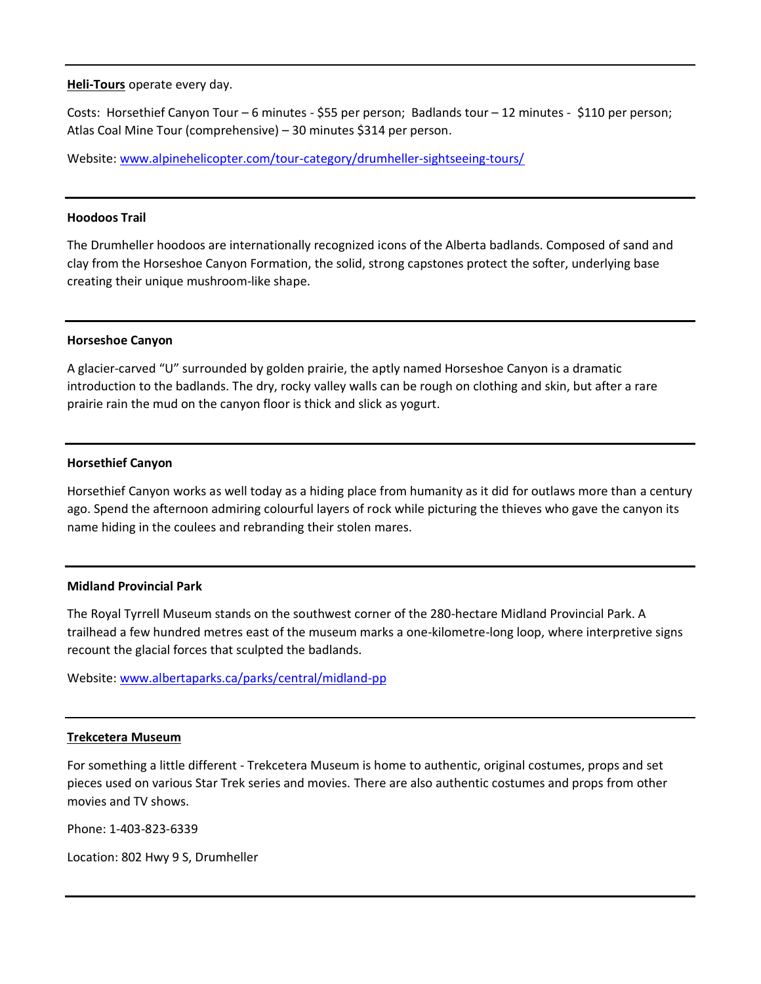**Heli-Tours** operate every day.

Costs: Horsethief Canyon Tour – 6 minutes - \$55 per person; Badlands tour – 12 minutes - \$110 per person; Atlas Coal Mine Tour (comprehensive) – 30 minutes \$314 per person.

Website: [www.alpinehelicopter.com/tour-category/drumheller-sightseeing-tours/](http://www.alpinehelicopter.com/tour-category/drumheller-sightseeing-tours/)

### **Hoodoos Trail**

The Drumheller hoodoos are internationally recognized icons of the Alberta badlands. Composed of sand and clay from the Horseshoe Canyon Formation, the solid, strong capstones protect the softer, underlying base creating their unique mushroom-like shape.

#### **Horseshoe Canyon**

A glacier-carved "U" surrounded by golden prairie, the aptly named Horseshoe Canyon is a dramatic introduction to the badlands. The dry, rocky valley walls can be rough on clothing and skin, but after a rare prairie rain the mud on the canyon floor is thick and slick as yogurt.

#### **Horsethief Canyon**

Horsethief Canyon works as well today as a hiding place from humanity as it did for outlaws more than a century ago. Spend the afternoon admiring colourful layers of rock while picturing the thieves who gave the canyon its name hiding in the coulees and rebranding their stolen mares.

### **Midland Provincial Park**

The Royal Tyrrell Museum stands on the southwest corner of the 280-hectare Midland Provincial Park. A trailhead a few hundred metres east of the museum marks a one-kilometre-long loop, where interpretive signs recount the glacial forces that sculpted the badlands.

Website: [www.albertaparks.ca/parks/central/midland-pp](http://www.albertaparks.ca/parks/central/midland-pp)

#### **Trekcetera Museum**

For something a little different - Trekcetera Museum is home to authentic, original costumes, props and set pieces used on various Star Trek series and movies. There are also authentic costumes and props from other movies and TV shows.

Phone: 1-403-823-6339

Location: 802 Hwy 9 S, Drumheller